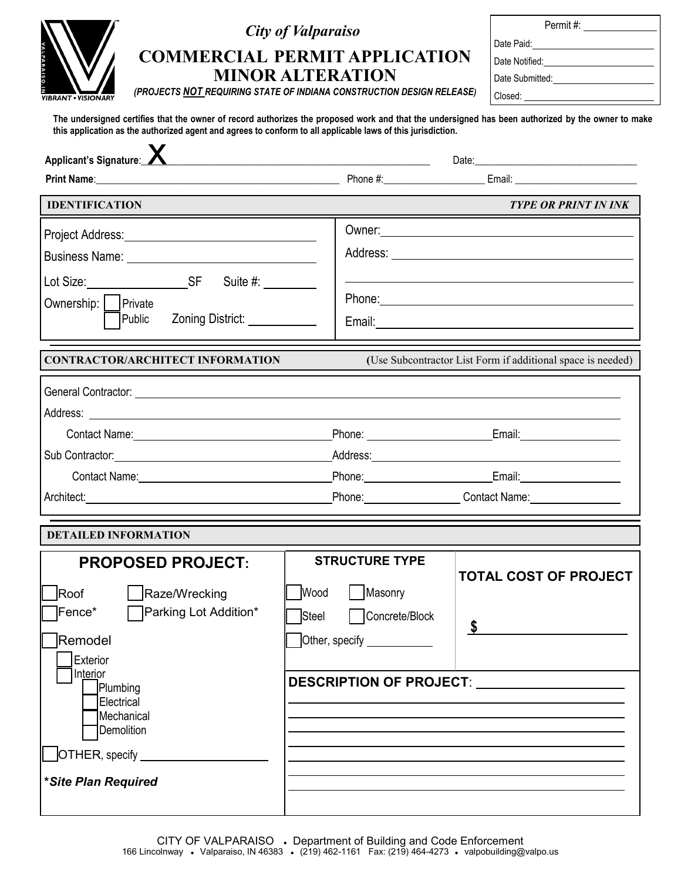| <b>VALPARAISO.IN</b>       |
|----------------------------|
| <b>VIBRANT • VISIONARY</b> |

## *City of Valparaiso*

# **COMMERCIAL PERMIT APPLICATION MINOR ALTERATION**

Permit #: Date Paid:

Date Notified:

Closed:

Date Submitted:

*(PROJECTS NOT REQUIRING STATE OF INDIANA CONSTRUCTION DESIGN RELEASE)*

**The undersigned certifies that the owner of record authorizes the proposed work and that the undersigned has been authorized by the owner to make this application as the authorized agent and agrees to conform to all applicable laws of this jurisdiction.**

| Applicant's Signature: X                                                                                                                                                                                                      |                                | <u> 2000 - Jan James James Barbara, politik eta politikaria (h. 1878).</u> |                                                                                                                                                                                                                                      |  |  |
|-------------------------------------------------------------------------------------------------------------------------------------------------------------------------------------------------------------------------------|--------------------------------|----------------------------------------------------------------------------|--------------------------------------------------------------------------------------------------------------------------------------------------------------------------------------------------------------------------------------|--|--|
|                                                                                                                                                                                                                               |                                |                                                                            |                                                                                                                                                                                                                                      |  |  |
| <b>IDENTIFICATION</b>                                                                                                                                                                                                         |                                |                                                                            | <b>TYPE OR PRINT IN INK</b>                                                                                                                                                                                                          |  |  |
| Project Address: National Project Address:                                                                                                                                                                                    |                                |                                                                            |                                                                                                                                                                                                                                      |  |  |
|                                                                                                                                                                                                                               |                                |                                                                            |                                                                                                                                                                                                                                      |  |  |
|                                                                                                                                                                                                                               |                                |                                                                            |                                                                                                                                                                                                                                      |  |  |
| Ownership:     Private<br>Zoning District: New York District:<br>  Public                                                                                                                                                     |                                |                                                                            |                                                                                                                                                                                                                                      |  |  |
| <b>CONTRACTOR/ARCHITECT INFORMATION</b>                                                                                                                                                                                       |                                |                                                                            | (Use Subcontractor List Form if additional space is needed)                                                                                                                                                                          |  |  |
|                                                                                                                                                                                                                               |                                |                                                                            |                                                                                                                                                                                                                                      |  |  |
| Contact Name: Name: Name and Secretary Annual Account of the Account of the Account of the Account of the Account of the Account of the Account of the Account of the Account of the Account of the Account of the Account of |                                |                                                                            | Phone: <u>Contract Contract Contract Contract Contract Contract Contract Contract Contract Contract Contract Contract Contract Contract Contract Contract Contract Contract Contract Contract Contract Contract Contract Contrac</u> |  |  |
| Sub Contractor: <u>contractor</u>                                                                                                                                                                                             |                                |                                                                            |                                                                                                                                                                                                                                      |  |  |
|                                                                                                                                                                                                                               |                                |                                                                            | Phone: <u>Contract Communication</u> Email: Communication Communication Communication Communication Communication Communication Communication Communication Communication Communication Communication Communication Communication C  |  |  |
|                                                                                                                                                                                                                               |                                |                                                                            | Phone: Contact Name: Contact Name:                                                                                                                                                                                                   |  |  |
| <b>DETAILED INFORMATION</b>                                                                                                                                                                                                   |                                |                                                                            |                                                                                                                                                                                                                                      |  |  |
| <b>PROPOSED PROJECT:</b>                                                                                                                                                                                                      |                                | <b>STRUCTURE TYPE</b>                                                      |                                                                                                                                                                                                                                      |  |  |
| Roof<br>Raze/Wrecking                                                                                                                                                                                                         | Wood                           | Masonry                                                                    | <b>TOTAL COST OF PROJECT</b>                                                                                                                                                                                                         |  |  |
| ∃Fence*<br>Parking Lot Addition*                                                                                                                                                                                              | Steel                          | Concrete/Block                                                             | \$                                                                                                                                                                                                                                   |  |  |
| Remodel<br>Exterior                                                                                                                                                                                                           |                                | Other, specify _______                                                     |                                                                                                                                                                                                                                      |  |  |
| Interior<br>Plumbing<br>Electrical<br>Mechanical<br>Demolition                                                                                                                                                                | <b>DESCRIPTION OF PROJECT:</b> |                                                                            |                                                                                                                                                                                                                                      |  |  |
| OTHER, specify<br>*Site Plan Required                                                                                                                                                                                         |                                |                                                                            |                                                                                                                                                                                                                                      |  |  |